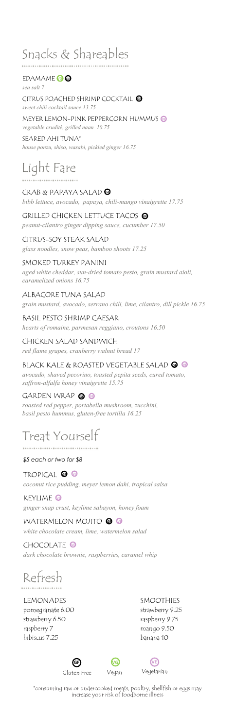## Snacks & Shareables

**EDAMAME** 

**GF** CITRUS POACHED SHRIMP COCKTAIL *sea salt 7 sweet chili cocktail sauce 13.75*

**VE** MEYER LEMON-PINK PEPPERCORN HUMMUS *vegetable crudité, grilled naan 10.75*

SEARED AHI TUNA\* *house ponzu, shiso, wasabi, pickled ginger 16.75*

# Light Fare

**GF** CRAB & PAPAYA SALAD

*bibb lettuce, avocado, papaya, chili-mango vinaigrette 17.75*

**GF** GRILLED CHICKEN LETTUCE TACOS *peanut-cilantro ginger dipping sauce, cucumber 17.50*

CITRUS-SOY STEAK SALAD *glass noodles, snow peas, bamboo shoots 17.25*

#### SMOKED TURKEY PANINI

*aged white cheddar, sun-dried tomato pesto, grain mustard aioli, caramelized onions 16.75*

ALBACORE TUNA SALAD *grain mustard, avocado, serrano chili, lime, cilantro, dill pickle 16.75*

BASIL PESTO SHRIMP CAESAR *hearts of romaine, parmesan reggiano, croutons 16.50*

CHICKEN SALAD SANDWICH *red flame grapes, cranberry walnut bread 17*

**GF VE** BLACK KALE & ROASTED VEGETABLE SALAD *avocado, shaved pecorino, toasted pepita seeds, cured tomato,* 

*saffron-alfalfa honey vinaigrette 15.75*

GARDEN WRAP @ **@** *roasted red pepper, portabella mushroom, zucchini, basil pesto hummus, gluten-free tortilla 16.25*

### Treat Yourself

..............................

*\$5 each or two for \$8*

**GF VE** TROPICAL *coconut rice pudding, meyer lemon dahi, tropical salsa*

**VE** KEYLIME *ginger snap crust, keylime sabayon, honey foam*

**WATERMELON MOJITO @ G** *white chocolate cream, lime, watermelon salad*

**CHOCOLATE** *dark chocolate brownie, raspberries, caramel whip*

# Refresh

LEMONADES pomegranate 6.00 strawberry 6.50 raspberry 7 hibiscus 7.25

SMOOTHIES strawberry 9.25 raspberry 9.75 mango 9.50 banana 10

**VG GF VE**Gluten Free Vegan Vegetarian



\*consuming raw or undercooked meats, poultry, shellfish or eggs may increase your risk of foodborne illness